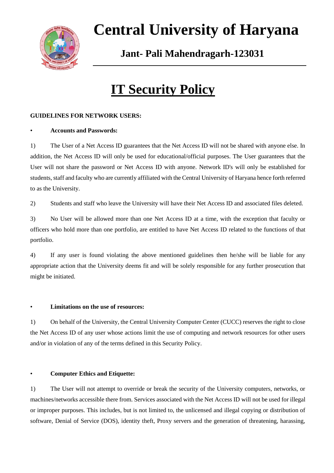

# **Central University of Haryana**

 **Jant- Pali Mahendragarh-123031** 

# **IT Security Policy**

## **GUIDELINES FOR NETWORK USERS:**

### • **Accounts and Passwords:**

1) The User of a Net Access ID guarantees that the Net Access ID will not be shared with anyone else. In addition, the Net Access ID will only be used for educational/official purposes. The User guarantees that the User will not share the password or Net Access ID with anyone. Network ID's will only be established for students, staff and faculty who are currently affiliated with the Central University of Haryana hence forth referred to as the University.

2) Students and staff who leave the University will have their Net Access ID and associated files deleted.

3) No User will be allowed more than one Net Access ID at a time, with the exception that faculty or officers who hold more than one portfolio, are entitled to have Net Access ID related to the functions of that portfolio.

4) If any user is found violating the above mentioned guidelines then he/she will be liable for any appropriate action that the University deems fit and will be solely responsible for any further prosecution that might be initiated.

### • **Limitations on the use of resources:**

1) On behalf of the University, the Central University Computer Center (CUCC) reserves the right to close the Net Access ID of any user whose actions limit the use of computing and network resources for other users and/or in violation of any of the terms defined in this Security Policy.

### • **Computer Ethics and Etiquette:**

1) The User will not attempt to override or break the security of the University computers, networks, or machines/networks accessible there from. Services associated with the Net Access ID will not be used for illegal or improper purposes. This includes, but is not limited to, the unlicensed and illegal copying or distribution of software, Denial of Service (DOS), identity theft, Proxy servers and the generation of threatening, harassing,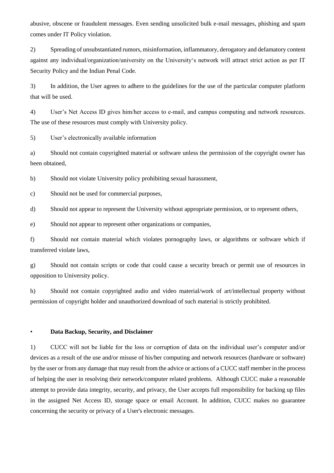abusive, obscene or fraudulent messages. Even sending unsolicited bulk e-mail messages, phishing and spam comes under IT Policy violation.

2) Spreading of unsubstantiated rumors, misinformation, inflammatory, derogatory and defamatory content against any individual/organization/university on the University's network will attract strict action as per IT Security Policy and the Indian Penal Code.

3) In addition, the User agrees to adhere to the guidelines for the use of the particular computer platform that will be used.

4) User's Net Access ID gives him/her access to email, and campus computing and network resources. The use of these resources must comply with University policy.

5) User's electronically available information

a) Should not contain copyrighted material or software unless the permission of the copyright owner has been obtained,

b) Should not violate University policy prohibiting sexual harassment,

c) Should not be used for commercial purposes,

d) Should not appear to represent the University without appropriate permission, or to represent others,

e) Should not appear to represent other organizations or companies,

f) Should not contain material which violates pornography laws, or algorithms or software which if transferred violate laws,

g) Should not contain scripts or code that could cause a security breach or permit use of resources in opposition to University policy.

h) Should not contain copyrighted audio and video material/work of art/intellectual property without permission of copyright holder and unauthorized download of such material is strictly prohibited.

• **Data Backup, Security, and Disclaimer**

1) CUCC will not be liable for the loss or corruption of data on the individual user's computer and/or devices as a result of the use and/or misuse of his/her computing and network resources (hardware or software) by the user or from any damage that may result from the advice or actions of a CUCC staff member in the process of helping the user in resolving their network/computer related problems. Although CUCC make a reasonable attempt to provide data integrity, security, and privacy, the User accepts full responsibility for backing up files in the assigned Net Access ID, storage space or email Account. In addition, CUCC makes no guarantee concerning the security or privacy of a User's electronic messages.